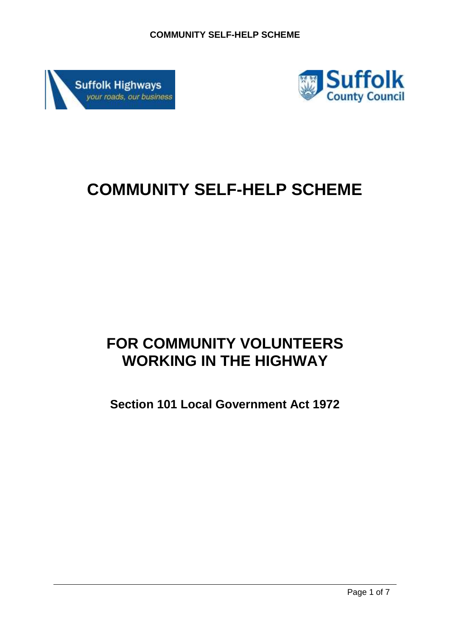



# **COMMUNITY SELF-HELP SCHEME**

# **FOR COMMUNITY VOLUNTEERS WORKING IN THE HIGHWAY**

**Section 101 Local Government Act 1972**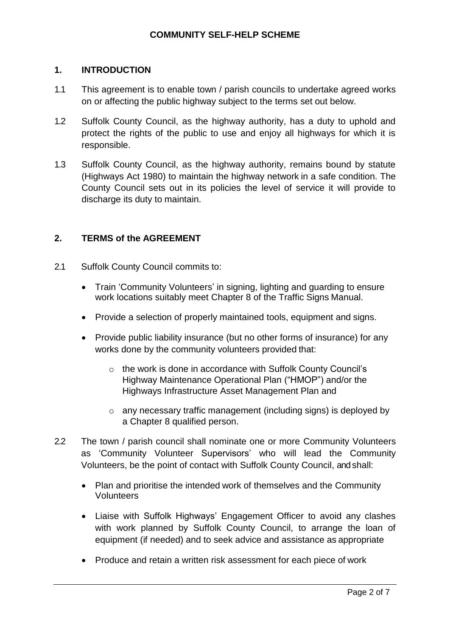# **1. INTRODUCTION**

- 1.1 This agreement is to enable town / parish councils to undertake agreed works on or affecting the public highway subject to the terms set out below.
- 1.2 Suffolk County Council, as the highway authority, has a duty to uphold and protect the rights of the public to use and enjoy all highways for which it is responsible.
- 1.3 Suffolk County Council, as the highway authority, remains bound by statute (Highways Act 1980) to maintain the highway network in a safe condition. The County Council sets out in its policies the level of service it will provide to discharge its duty to maintain.

# **2. TERMS of the AGREEMENT**

- 2.1 Suffolk County Council commits to:
	- Train 'Community Volunteers' in signing, lighting and guarding to ensure work locations suitably meet Chapter 8 of the Traffic Signs Manual.
	- Provide a selection of properly maintained tools, equipment and signs.
	- Provide public liability insurance (but no other forms of insurance) for any works done by the community volunteers provided that:
		- o the work is done in accordance with Suffolk County Council's Highway Maintenance Operational Plan ("HMOP") and/or the Highways Infrastructure Asset Management Plan and
		- o any necessary traffic management (including signs) is deployed by a Chapter 8 qualified person.
- 2.2 The town / parish council shall nominate one or more Community Volunteers as 'Community Volunteer Supervisors' who will lead the Community Volunteers, be the point of contact with Suffolk County Council, and shall:
	- Plan and prioritise the intended work of themselves and the Community **Volunteers**
	- Liaise with Suffolk Highways' Engagement Officer to avoid any clashes with work planned by Suffolk County Council, to arrange the loan of equipment (if needed) and to seek advice and assistance as appropriate
	- Produce and retain a written risk assessment for each piece of work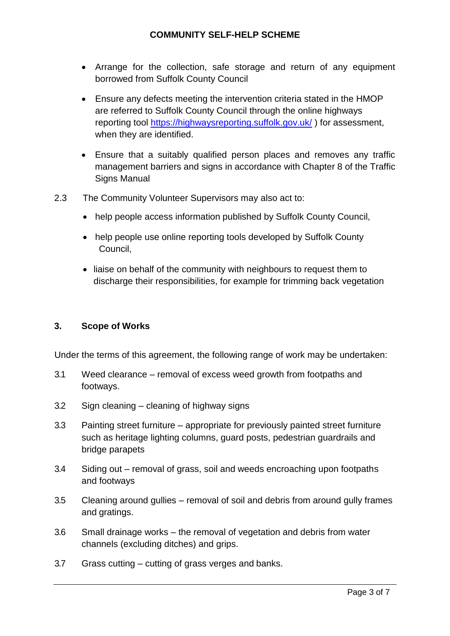- Arrange for the collection, safe storage and return of any equipment borrowed from Suffolk County Council
- Ensure any defects meeting the intervention criteria stated in the HMOP are referred to Suffolk County Council through the online highways reporting tool <https://highwaysreporting.suffolk.gov.uk/> ) for assessment, when they are identified.
- Ensure that a suitably qualified person places and removes any traffic management barriers and signs in accordance with Chapter 8 of the Traffic Signs Manual
- 2.3 The Community Volunteer Supervisors may also act to:
	- help people access information published by Suffolk County Council,
	- help people use online reporting tools developed by Suffolk County Council,
	- liaise on behalf of the community with neighbours to request them to discharge their responsibilities, for example for trimming back vegetation

#### **3. Scope of Works**

Under the terms of this agreement, the following range of work may be undertaken:

- 3.1 Weed clearance removal of excess weed growth from footpaths and footways.
- 3.2 Sign cleaning cleaning of highway signs
- 3.3 Painting street furniture appropriate for previously painted street furniture such as heritage lighting columns, guard posts, pedestrian guardrails and bridge parapets
- 3.4 Siding out removal of grass, soil and weeds encroaching upon footpaths and footways
- 3.5 Cleaning around gullies removal of soil and debris from around gully frames and gratings.
- 3.6 Small drainage works the removal of vegetation and debris from water channels (excluding ditches) and grips.
- 3.7 Grass cutting cutting of grass verges and banks.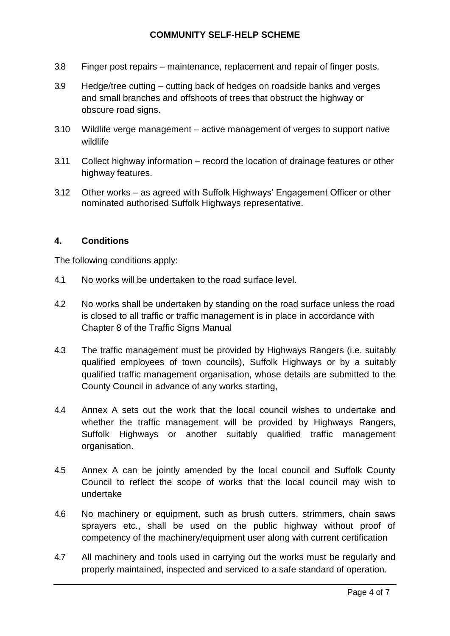- 3.8 Finger post repairs maintenance, replacement and repair of finger posts.
- 3.9 Hedge/tree cutting cutting back of hedges on roadside banks and verges and small branches and offshoots of trees that obstruct the highway or obscure road signs.
- 3.10 Wildlife verge management active management of verges to support native wildlife
- 3.11 Collect highway information record the location of drainage features or other highway features.
- 3.12 Other works as agreed with Suffolk Highways' Engagement Officer or other nominated authorised Suffolk Highways representative.

# **4. Conditions**

The following conditions apply:

- 4.1 No works will be undertaken to the road surface level.
- 4.2 No works shall be undertaken by standing on the road surface unless the road is closed to all traffic or traffic management is in place in accordance with Chapter 8 of the Traffic Signs Manual
- 4.3 The traffic management must be provided by Highways Rangers (i.e. suitably qualified employees of town councils), Suffolk Highways or by a suitably qualified traffic management organisation, whose details are submitted to the County Council in advance of any works starting,
- 4.4 Annex A sets out the work that the local council wishes to undertake and whether the traffic management will be provided by Highways Rangers, Suffolk Highways or another suitably qualified traffic management organisation.
- 4.5 Annex A can be jointly amended by the local council and Suffolk County Council to reflect the scope of works that the local council may wish to undertake
- 4.6 No machinery or equipment, such as brush cutters, strimmers, chain saws sprayers etc., shall be used on the public highway without proof of competency of the machinery/equipment user along with current certification
- 4.7 All machinery and tools used in carrying out the works must be regularly and properly maintained, inspected and serviced to a safe standard of operation.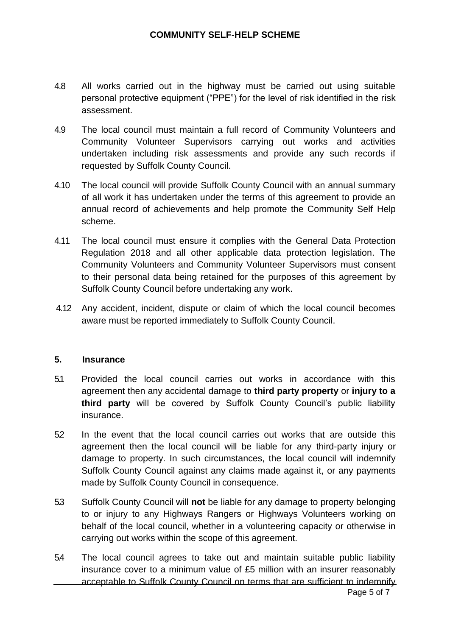- 4.8 All works carried out in the highway must be carried out using suitable personal protective equipment ("PPE") for the level of risk identified in the risk assessment.
- 4.9 The local council must maintain a full record of Community Volunteers and Community Volunteer Supervisors carrying out works and activities undertaken including risk assessments and provide any such records if requested by Suffolk County Council.
- 4.10 The local council will provide Suffolk County Council with an annual summary of all work it has undertaken under the terms of this agreement to provide an annual record of achievements and help promote the Community Self Help scheme.
- 4.11 The local council must ensure it complies with the General Data Protection Regulation 2018 and all other applicable data protection legislation. The Community Volunteers and Community Volunteer Supervisors must consent to their personal data being retained for the purposes of this agreement by Suffolk County Council before undertaking any work.
- 4.12 Any accident, incident, dispute or claim of which the local council becomes aware must be reported immediately to Suffolk County Council.

# **5. Insurance**

- 5.1 Provided the local council carries out works in accordance with this agreement then any accidental damage to **third party property** or **injury to a third party** will be covered by Suffolk County Council's public liability insurance.
- 5.2 In the event that the local council carries out works that are outside this agreement then the local council will be liable for any third-party injury or damage to property. In such circumstances, the local council will indemnify Suffolk County Council against any claims made against it, or any payments made by Suffolk County Council in consequence.
- 5.3 Suffolk County Council will **not** be liable for any damage to property belonging to or injury to any Highways Rangers or Highways Volunteers working on behalf of the local council, whether in a volunteering capacity or otherwise in carrying out works within the scope of this agreement.
- Page 5 of 7 5.4 The local council agrees to take out and maintain suitable public liability insurance cover to a minimum value of £5 million with an insurer reasonably acceptable to Suffolk County Council on terms that are sufficient to indemnify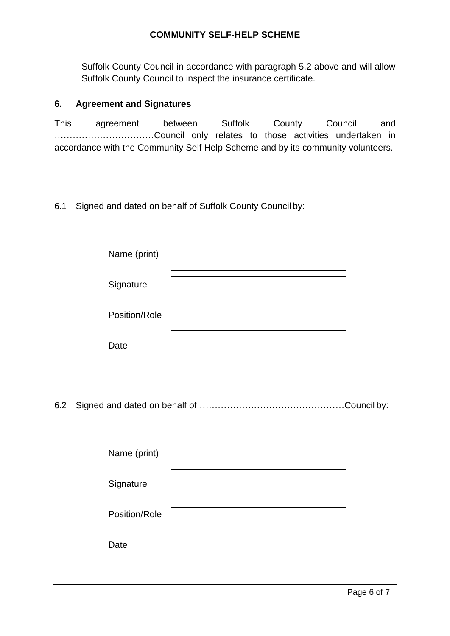Suffolk County Council in accordance with paragraph 5.2 above and will allow Suffolk County Council to inspect the insurance certificate.

#### **6. Agreement and Signatures**

This agreement between Suffolk County Council and ……………………………Council only relates to those activities undertaken in accordance with the Community Self Help Scheme and by its community volunteers.

# 6.1 Signed and dated on behalf of Suffolk County Council by:

|     | Name (print)  |                                                                                           |  |
|-----|---------------|-------------------------------------------------------------------------------------------|--|
|     | Signature     | the control of the control of the control of the control of the control of the control of |  |
|     | Position/Role |                                                                                           |  |
|     | Date          |                                                                                           |  |
|     |               |                                                                                           |  |
| 6.2 |               |                                                                                           |  |
|     |               |                                                                                           |  |
|     | Name (print)  |                                                                                           |  |
|     | Signature     |                                                                                           |  |
|     | Position/Role |                                                                                           |  |
|     | Date          |                                                                                           |  |
|     |               |                                                                                           |  |